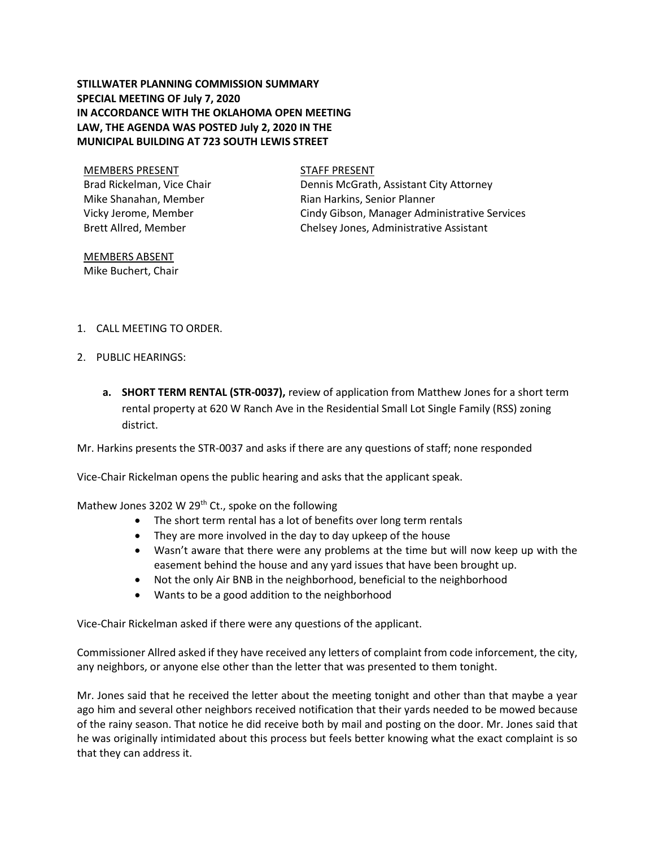# **STILLWATER PLANNING COMMISSION SUMMARY SPECIAL MEETING OF July 7, 2020 IN ACCORDANCE WITH THE OKLAHOMA OPEN MEETING LAW, THE AGENDA WAS POSTED July 2, 2020 IN THE MUNICIPAL BUILDING AT 723 SOUTH LEWIS STREET**

MEMBERS PRESENT STAFF PRESENT Brad Rickelman, Vice Chair Mike Shanahan, Member Vicky Jerome, Member Brett Allred, Member

Dennis McGrath, Assistant City Attorney Rian Harkins, Senior Planner Cindy Gibson, Manager Administrative Services Chelsey Jones, Administrative Assistant

MEMBERS ABSENT Mike Buchert, Chair

- 1. CALL MEETING TO ORDER.
- 2. PUBLIC HEARINGS:
	- **a. SHORT TERM RENTAL (STR-0037),** review of application from Matthew Jones for a short term rental property at 620 W Ranch Ave in the Residential Small Lot Single Family (RSS) zoning district.

Mr. Harkins presents the STR-0037 and asks if there are any questions of staff; none responded

Vice-Chair Rickelman opens the public hearing and asks that the applicant speak.

Mathew Jones 3202 W 29<sup>th</sup> Ct., spoke on the following

- The short term rental has a lot of benefits over long term rentals
- They are more involved in the day to day upkeep of the house
- Wasn't aware that there were any problems at the time but will now keep up with the easement behind the house and any yard issues that have been brought up.
- Not the only Air BNB in the neighborhood, beneficial to the neighborhood
- Wants to be a good addition to the neighborhood

Vice-Chair Rickelman asked if there were any questions of the applicant.

Commissioner Allred asked if they have received any letters of complaint from code inforcement, the city, any neighbors, or anyone else other than the letter that was presented to them tonight.

Mr. Jones said that he received the letter about the meeting tonight and other than that maybe a year ago him and several other neighbors received notification that their yards needed to be mowed because of the rainy season. That notice he did receive both by mail and posting on the door. Mr. Jones said that he was originally intimidated about this process but feels better knowing what the exact complaint is so that they can address it.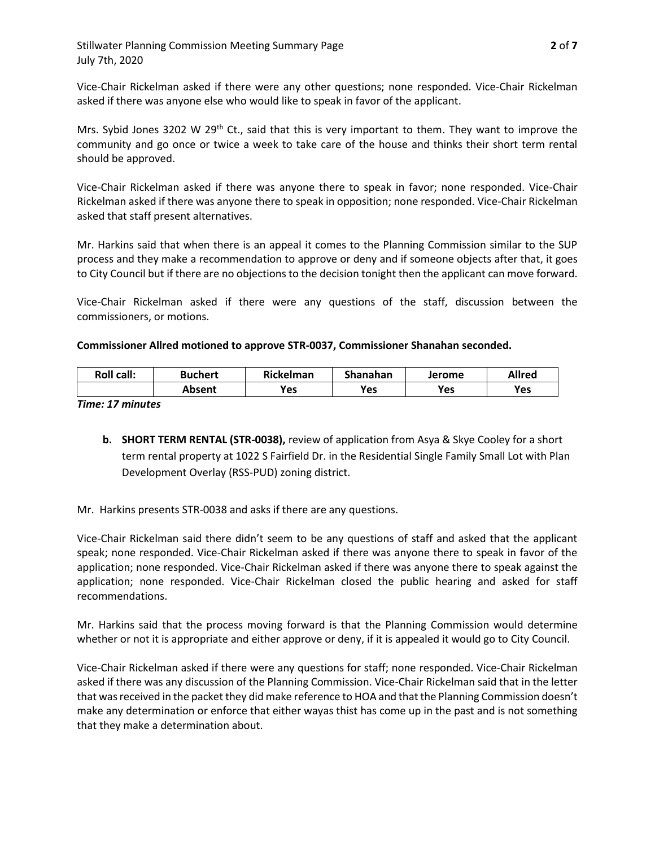Vice-Chair Rickelman asked if there were any other questions; none responded. Vice-Chair Rickelman asked if there was anyone else who would like to speak in favor of the applicant.

Mrs. Sybid Jones 3202 W 29<sup>th</sup> Ct., said that this is very important to them. They want to improve the community and go once or twice a week to take care of the house and thinks their short term rental should be approved.

Vice-Chair Rickelman asked if there was anyone there to speak in favor; none responded. Vice-Chair Rickelman asked if there was anyone there to speak in opposition; none responded. Vice-Chair Rickelman asked that staff present alternatives.

Mr. Harkins said that when there is an appeal it comes to the Planning Commission similar to the SUP process and they make a recommendation to approve or deny and if someone objects after that, it goes to City Council but if there are no objections to the decision tonight then the applicant can move forward.

Vice-Chair Rickelman asked if there were any questions of the staff, discussion between the commissioners, or motions.

**Commissioner Allred motioned to approve STR-0037, Commissioner Shanahan seconded.**

| <b>Roll call:</b> | Buchert | Rickelman | Shanahan | Jerome | <b>Allred</b> |
|-------------------|---------|-----------|----------|--------|---------------|
|                   | Absent  | Yes       | Yes      | Yes    | Yes           |

*Time: 17 minutes*

**b. SHORT TERM RENTAL (STR-0038),** review of application from Asya & Skye Cooley for a short term rental property at 1022 S Fairfield Dr. in the Residential Single Family Small Lot with Plan Development Overlay (RSS-PUD) zoning district.

Mr. Harkins presents STR-0038 and asks if there are any questions.

Vice-Chair Rickelman said there didn't seem to be any questions of staff and asked that the applicant speak; none responded. Vice-Chair Rickelman asked if there was anyone there to speak in favor of the application; none responded. Vice-Chair Rickelman asked if there was anyone there to speak against the application; none responded. Vice-Chair Rickelman closed the public hearing and asked for staff recommendations.

Mr. Harkins said that the process moving forward is that the Planning Commission would determine whether or not it is appropriate and either approve or deny, if it is appealed it would go to City Council.

Vice-Chair Rickelman asked if there were any questions for staff; none responded. Vice-Chair Rickelman asked if there was any discussion of the Planning Commission. Vice-Chair Rickelman said that in the letter that was received in the packet they did make reference to HOA and that the Planning Commission doesn't make any determination or enforce that either wayas thist has come up in the past and is not something that they make a determination about.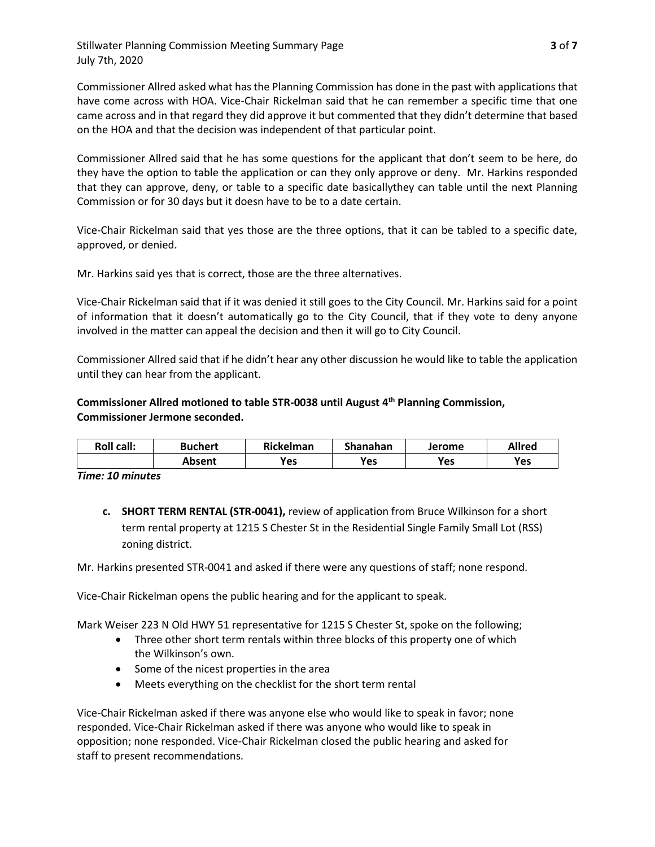Stillwater Planning Commission Meeting Summary Page **3** of **7** July 7th, 2020

Commissioner Allred asked what has the Planning Commission has done in the past with applications that have come across with HOA. Vice-Chair Rickelman said that he can remember a specific time that one came across and in that regard they did approve it but commented that they didn't determine that based on the HOA and that the decision was independent of that particular point.

Commissioner Allred said that he has some questions for the applicant that don't seem to be here, do they have the option to table the application or can they only approve or deny. Mr. Harkins responded that they can approve, deny, or table to a specific date basicallythey can table until the next Planning Commission or for 30 days but it doesn have to be to a date certain.

Vice-Chair Rickelman said that yes those are the three options, that it can be tabled to a specific date, approved, or denied.

Mr. Harkins said yes that is correct, those are the three alternatives.

Vice-Chair Rickelman said that if it was denied it still goes to the City Council. Mr. Harkins said for a point of information that it doesn't automatically go to the City Council, that if they vote to deny anyone involved in the matter can appeal the decision and then it will go to City Council.

Commissioner Allred said that if he didn't hear any other discussion he would like to table the application until they can hear from the applicant.

## **Commissioner Allred motioned to table STR-0038 until August 4th Planning Commission, Commissioner Jermone seconded.**

| <b>Roll call:</b> | <b>Buchert</b> | <b>Rickelman</b> | Shanahan | Jerome | Allred |
|-------------------|----------------|------------------|----------|--------|--------|
|                   | Absent         | Yes              | Yes      | Yes    | Yes    |

*Time: 10 minutes*

**c. SHORT TERM RENTAL (STR-0041),** review of application from Bruce Wilkinson for a short term rental property at 1215 S Chester St in the Residential Single Family Small Lot (RSS) zoning district.

Mr. Harkins presented STR-0041 and asked if there were any questions of staff; none respond.

Vice-Chair Rickelman opens the public hearing and for the applicant to speak.

Mark Weiser 223 N Old HWY 51 representative for 1215 S Chester St, spoke on the following;

- Three other short term rentals within three blocks of this property one of which the Wilkinson's own.
- Some of the nicest properties in the area
- Meets everything on the checklist for the short term rental

Vice-Chair Rickelman asked if there was anyone else who would like to speak in favor; none responded. Vice-Chair Rickelman asked if there was anyone who would like to speak in opposition; none responded. Vice-Chair Rickelman closed the public hearing and asked for staff to present recommendations.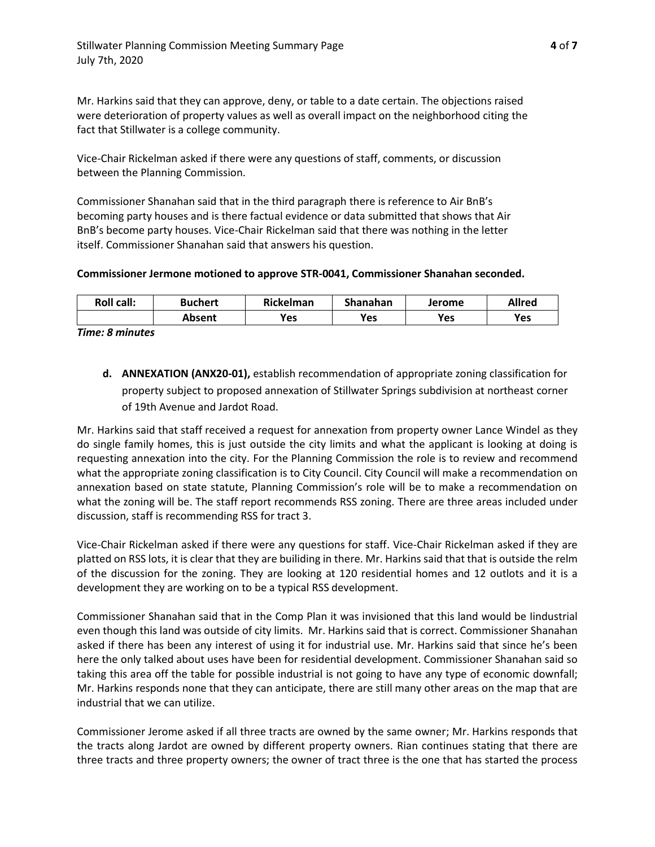Mr. Harkins said that they can approve, deny, or table to a date certain. The objections raised were deterioration of property values as well as overall impact on the neighborhood citing the fact that Stillwater is a college community.

Vice-Chair Rickelman asked if there were any questions of staff, comments, or discussion between the Planning Commission.

Commissioner Shanahan said that in the third paragraph there is reference to Air BnB's becoming party houses and is there factual evidence or data submitted that shows that Air BnB's become party houses. Vice-Chair Rickelman said that there was nothing in the letter itself. Commissioner Shanahan said that answers his question.

#### **Commissioner Jermone motioned to approve STR-0041, Commissioner Shanahan seconded.**

| <b>Roll call:</b> | <b>Buchert</b> | Rickelman  | Shanahan | Jerome | <b>Allred</b> |
|-------------------|----------------|------------|----------|--------|---------------|
|                   | Absent         | <b>Yes</b> | Yes      | Yes    | Yes           |

*Time: 8 minutes*

**d. ANNEXATION (ANX20-01),** establish recommendation of appropriate zoning classification for property subject to proposed annexation of Stillwater Springs subdivision at northeast corner of 19th Avenue and Jardot Road.

Mr. Harkins said that staff received a request for annexation from property owner Lance Windel as they do single family homes, this is just outside the city limits and what the applicant is looking at doing is requesting annexation into the city. For the Planning Commission the role is to review and recommend what the appropriate zoning classification is to City Council. City Council will make a recommendation on annexation based on state statute, Planning Commission's role will be to make a recommendation on what the zoning will be. The staff report recommends RSS zoning. There are three areas included under discussion, staff is recommending RSS for tract 3.

Vice-Chair Rickelman asked if there were any questions for staff. Vice-Chair Rickelman asked if they are platted on RSS lots, it is clear that they are builiding in there. Mr. Harkins said that that is outside the relm of the discussion for the zoning. They are looking at 120 residential homes and 12 outlots and it is a development they are working on to be a typical RSS development.

Commissioner Shanahan said that in the Comp Plan it was invisioned that this land would be Iindustrial even though this land was outside of city limits. Mr. Harkins said that is correct. Commissioner Shanahan asked if there has been any interest of using it for industrial use. Mr. Harkins said that since he's been here the only talked about uses have been for residential development. Commissioner Shanahan said so taking this area off the table for possible industrial is not going to have any type of economic downfall; Mr. Harkins responds none that they can anticipate, there are still many other areas on the map that are industrial that we can utilize.

Commissioner Jerome asked if all three tracts are owned by the same owner; Mr. Harkins responds that the tracts along Jardot are owned by different property owners. Rian continues stating that there are three tracts and three property owners; the owner of tract three is the one that has started the process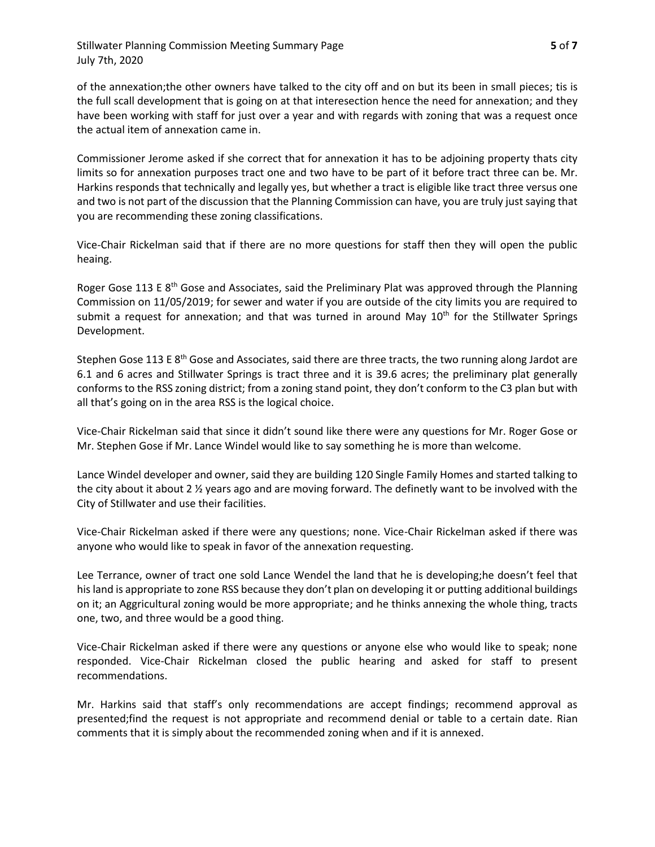Stillwater Planning Commission Meeting Summary Page **5** of **7** July 7th, 2020

of the annexation;the other owners have talked to the city off and on but its been in small pieces; tis is the full scall development that is going on at that interesection hence the need for annexation; and they have been working with staff for just over a year and with regards with zoning that was a request once the actual item of annexation came in.

Commissioner Jerome asked if she correct that for annexation it has to be adjoining property thats city limits so for annexation purposes tract one and two have to be part of it before tract three can be. Mr. Harkins responds that technically and legally yes, but whether a tract is eligible like tract three versus one and two is not part of the discussion that the Planning Commission can have, you are truly just saying that you are recommending these zoning classifications.

Vice-Chair Rickelman said that if there are no more questions for staff then they will open the public heaing.

Roger Gose 113 E 8<sup>th</sup> Gose and Associates, said the Preliminary Plat was approved through the Planning Commission on 11/05/2019; for sewer and water if you are outside of the city limits you are required to submit a request for annexation; and that was turned in around May  $10<sup>th</sup>$  for the Stillwater Springs Development.

Stephen Gose 113 E  $8<sup>th</sup>$  Gose and Associates, said there are three tracts, the two running along Jardot are 6.1 and 6 acres and Stillwater Springs is tract three and it is 39.6 acres; the preliminary plat generally conforms to the RSS zoning district; from a zoning stand point, they don't conform to the C3 plan but with all that's going on in the area RSS is the logical choice.

Vice-Chair Rickelman said that since it didn't sound like there were any questions for Mr. Roger Gose or Mr. Stephen Gose if Mr. Lance Windel would like to say something he is more than welcome.

Lance Windel developer and owner, said they are building 120 Single Family Homes and started talking to the city about it about 2  $\frac{y}{2}$  years ago and are moving forward. The definetly want to be involved with the City of Stillwater and use their facilities.

Vice-Chair Rickelman asked if there were any questions; none. Vice-Chair Rickelman asked if there was anyone who would like to speak in favor of the annexation requesting.

Lee Terrance, owner of tract one sold Lance Wendel the land that he is developing;he doesn't feel that his land is appropriate to zone RSS because they don't plan on developing it or putting additional buildings on it; an Aggricultural zoning would be more appropriate; and he thinks annexing the whole thing, tracts one, two, and three would be a good thing.

Vice-Chair Rickelman asked if there were any questions or anyone else who would like to speak; none responded. Vice-Chair Rickelman closed the public hearing and asked for staff to present recommendations.

Mr. Harkins said that staff's only recommendations are accept findings; recommend approval as presented;find the request is not appropriate and recommend denial or table to a certain date. Rian comments that it is simply about the recommended zoning when and if it is annexed.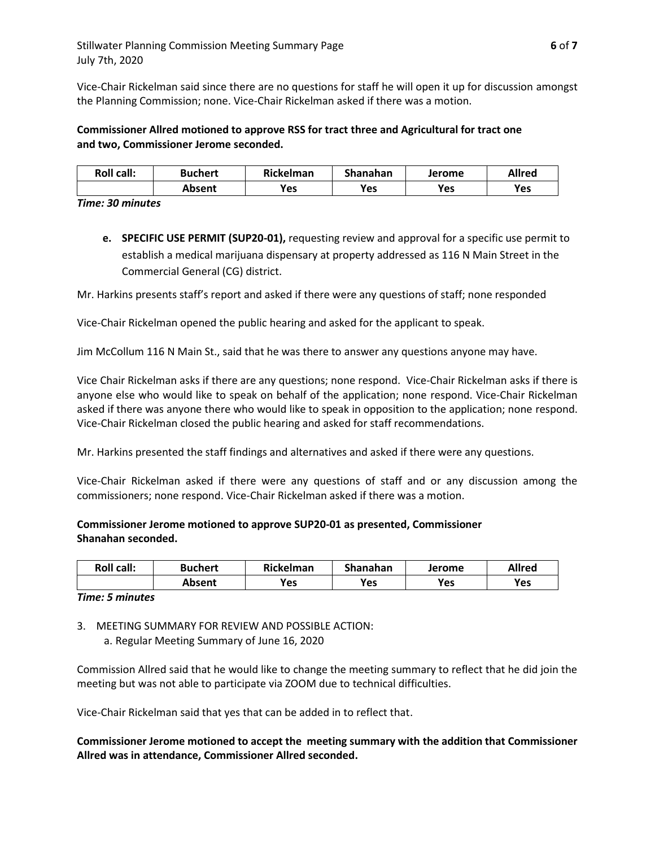Vice-Chair Rickelman said since there are no questions for staff he will open it up for discussion amongst the Planning Commission; none. Vice-Chair Rickelman asked if there was a motion.

## **Commissioner Allred motioned to approve RSS for tract three and Agricultural for tract one and two, Commissioner Jerome seconded.**

| <b>Roll call:</b> | Buchert | Rickelman | Shanahan | Jerome | <b>Allred</b> |
|-------------------|---------|-----------|----------|--------|---------------|
|                   | Absent  | Yes       | Yes      | Yes    | Yes           |

*Time: 30 minutes*

**e. SPECIFIC USE PERMIT (SUP20-01),** requesting review and approval for a specific use permit to establish a medical marijuana dispensary at property addressed as 116 N Main Street in the Commercial General (CG) district.

Mr. Harkins presents staff's report and asked if there were any questions of staff; none responded

Vice-Chair Rickelman opened the public hearing and asked for the applicant to speak.

Jim McCollum 116 N Main St., said that he was there to answer any questions anyone may have.

Vice Chair Rickelman asks if there are any questions; none respond. Vice-Chair Rickelman asks if there is anyone else who would like to speak on behalf of the application; none respond. Vice-Chair Rickelman asked if there was anyone there who would like to speak in opposition to the application; none respond. Vice-Chair Rickelman closed the public hearing and asked for staff recommendations.

Mr. Harkins presented the staff findings and alternatives and asked if there were any questions.

Vice-Chair Rickelman asked if there were any questions of staff and or any discussion among the commissioners; none respond. Vice-Chair Rickelman asked if there was a motion.

## **Commissioner Jerome motioned to approve SUP20-01 as presented, Commissioner Shanahan seconded.**

| <b>Roll call:</b> | <b>Buchert</b> | Rickelman | Shanahan | Jerome | <b>Allred</b> |
|-------------------|----------------|-----------|----------|--------|---------------|
|                   | Absent         | Yes       | Yes      | Yes    | Yes           |

*Time: 5 minutes*

3. MEETING SUMMARY FOR REVIEW AND POSSIBLE ACTION: a. Regular Meeting Summary of June 16, 2020

Commission Allred said that he would like to change the meeting summary to reflect that he did join the meeting but was not able to participate via ZOOM due to technical difficulties.

Vice-Chair Rickelman said that yes that can be added in to reflect that.

**Commissioner Jerome motioned to accept the meeting summary with the addition that Commissioner Allred was in attendance, Commissioner Allred seconded.**